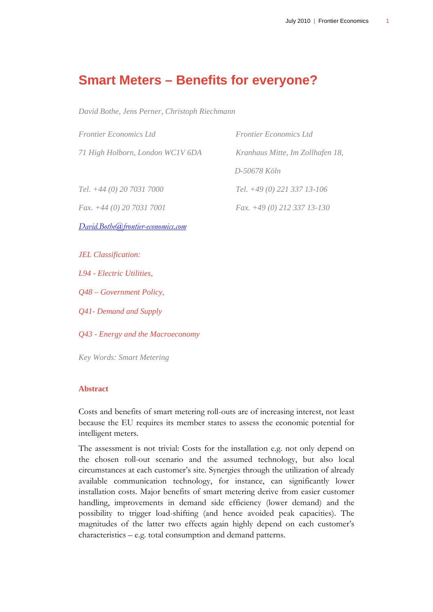## **Smart Meters – Benefits for everyone?**

*David Bothe, Jens Perner, Christoph Riechmann* 

| <b>Frontier Economics Ltd</b>      | <b>Frontier Economics Ltd</b>    |
|------------------------------------|----------------------------------|
| 71 High Holborn, London WC1V 6DA   | Kranhaus Mitte, Im Zollhafen 18, |
|                                    | D-50678 Köln                     |
| Tel. $+44(0)$ 20 7031 7000         | Tel. $+49(0)$ 221 337 13-106     |
| Fax. $+44(0)$ 20 7031 7001         | Fax. +49 (0) 212 337 13-130      |
| David.Bothe@frontier-economics.com |                                  |
|                                    |                                  |
| <b>JEL Classification:</b>         |                                  |
| L94 - Electric Utilities,          |                                  |

*Q48 – Government Policy,* 

*Q41- Demand and Supply* 

*Q43 - Energy and the Macroeconomy* 

*Key Words: Smart Metering* 

## **Abstract**

Costs and benefits of smart metering roll-outs are of increasing interest, not least because the EU requires its member states to assess the economic potential for intelligent meters.

The assessment is not trivial: Costs for the installation e.g. not only depend on the chosen roll-out scenario and the assumed technology, but also local circumstances at each customer's site. Synergies through the utilization of already available communication technology, for instance, can significantly lower installation costs. Major benefits of smart metering derive from easier customer handling, improvements in demand side efficiency (lower demand) and the possibility to trigger load-shifting (and hence avoided peak capacities). The magnitudes of the latter two effects again highly depend on each customer's characteristics – e.g. total consumption and demand patterns.